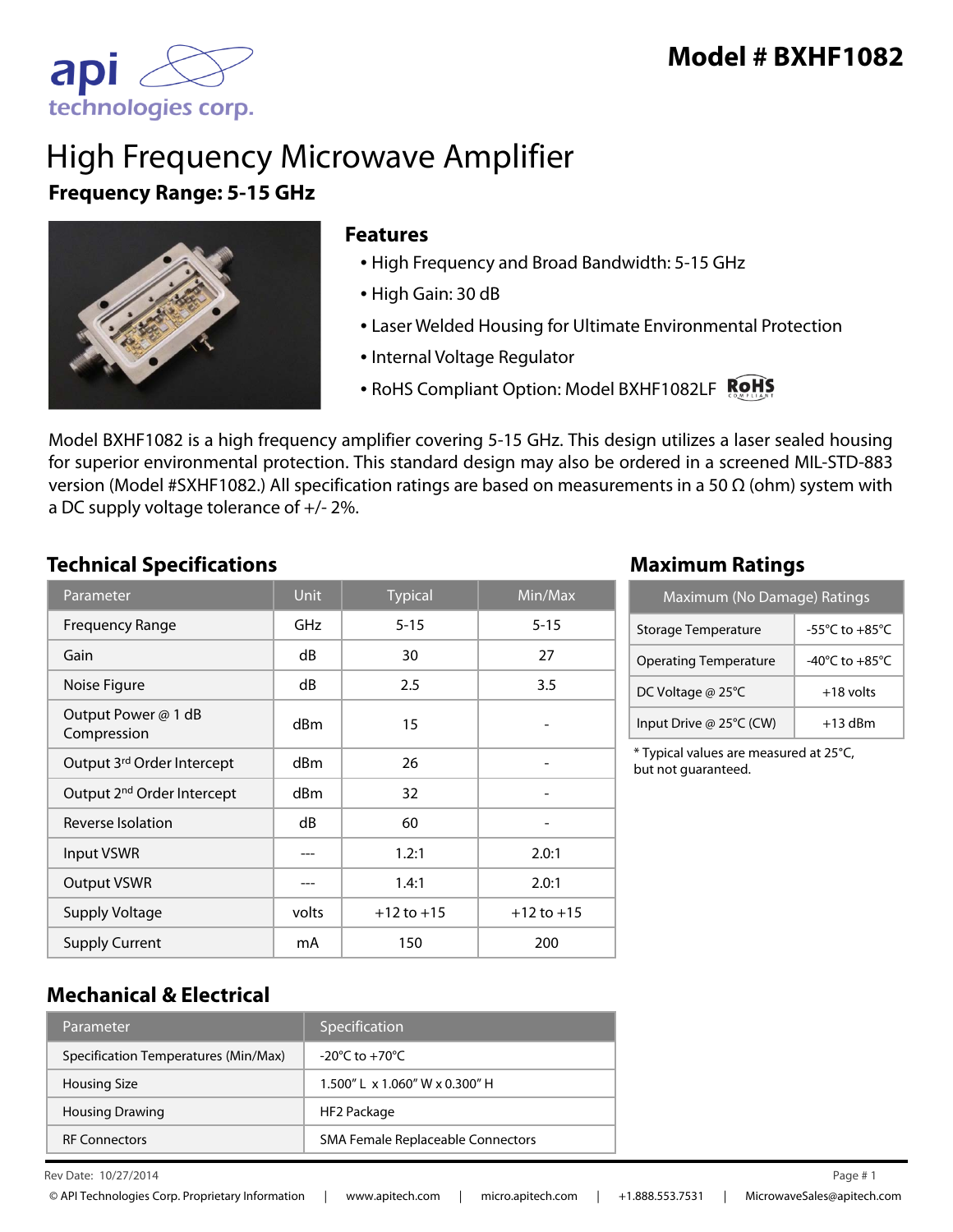

# High Frequency Microwave Amplifier **Frequency Range: 5-15 GHz**



#### **Features**

- High Frequency and Broad Bandwidth: 5-15 GHz
- High Gain: 30 dB
- Laser Welded Housing for Ultimate Environmental Protection
- Internal Voltage Regulator
- RoHS Compliant Option: Model BXHF1082LF ROHS

Model BXHF1082 is a high frequency amplifier covering 5-15 GHz. This design utilizes a laser sealed housing for superior environmental protection. This standard design may also be ordered in a screened MIL-STD-883 version (Model #SXHF1082.) All specification ratings are based on measurements in a 50 Ω (ohm) system with a DC supply voltage tolerance of +/- 2%.

#### **Technical Specifications Maximum Ratings**

| Parameter                              | <b>Unit</b>     | <b>Typical</b> | Min/Max        |
|----------------------------------------|-----------------|----------------|----------------|
| <b>Frequency Range</b>                 | GHz             | $5 - 15$       | $5 - 15$       |
| Gain                                   | dB              | 30             | 27             |
| Noise Figure                           | dB              | 2.5            | 3.5            |
| Output Power @ 1 dB<br>Compression     | d <sub>Bm</sub> | 15             |                |
| Output 3rd Order Intercept             | dBm             | 26             |                |
| Output 2 <sup>nd</sup> Order Intercept | dBm             | 32             |                |
| Reverse Isolation                      | dB              | 60             |                |
| Input VSWR                             |                 | 1.2:1          | 2.0:1          |
| <b>Output VSWR</b>                     |                 | 1.4:1          | 2.0:1          |
| <b>Supply Voltage</b>                  | volts           | $+12$ to $+15$ | $+12$ to $+15$ |
| <b>Supply Current</b>                  | mA              | 150            | 200            |

| Maximum (No Damage) Ratings  |                                      |  |
|------------------------------|--------------------------------------|--|
| Storage Temperature          | $-55^{\circ}$ C to $+85^{\circ}$ C   |  |
| <b>Operating Temperature</b> | -40 $^{\circ}$ C to +85 $^{\circ}$ C |  |
| DC Voltage @ 25°C            | $+18$ volts                          |  |
| Input Drive @ 25°C (CW)      | $+13$ dBm                            |  |

\* Typical values are measured at 25°C, but not guaranteed.

#### **Mechanical & Electrical**

| Parameter                            | Specification                                   |
|--------------------------------------|-------------------------------------------------|
| Specification Temperatures (Min/Max) | $-20^{\circ}$ C to $+70^{\circ}$ C              |
| <b>Housing Size</b>                  | $1.500''$ L $\times$ 1.060" W $\times$ 0.300" H |
| <b>Housing Drawing</b>               | HF2 Package                                     |
| <b>RF Connectors</b>                 | SMA Female Replaceable Connectors               |

 $\mu$  Rev Date: 10/27/2014 Page # 1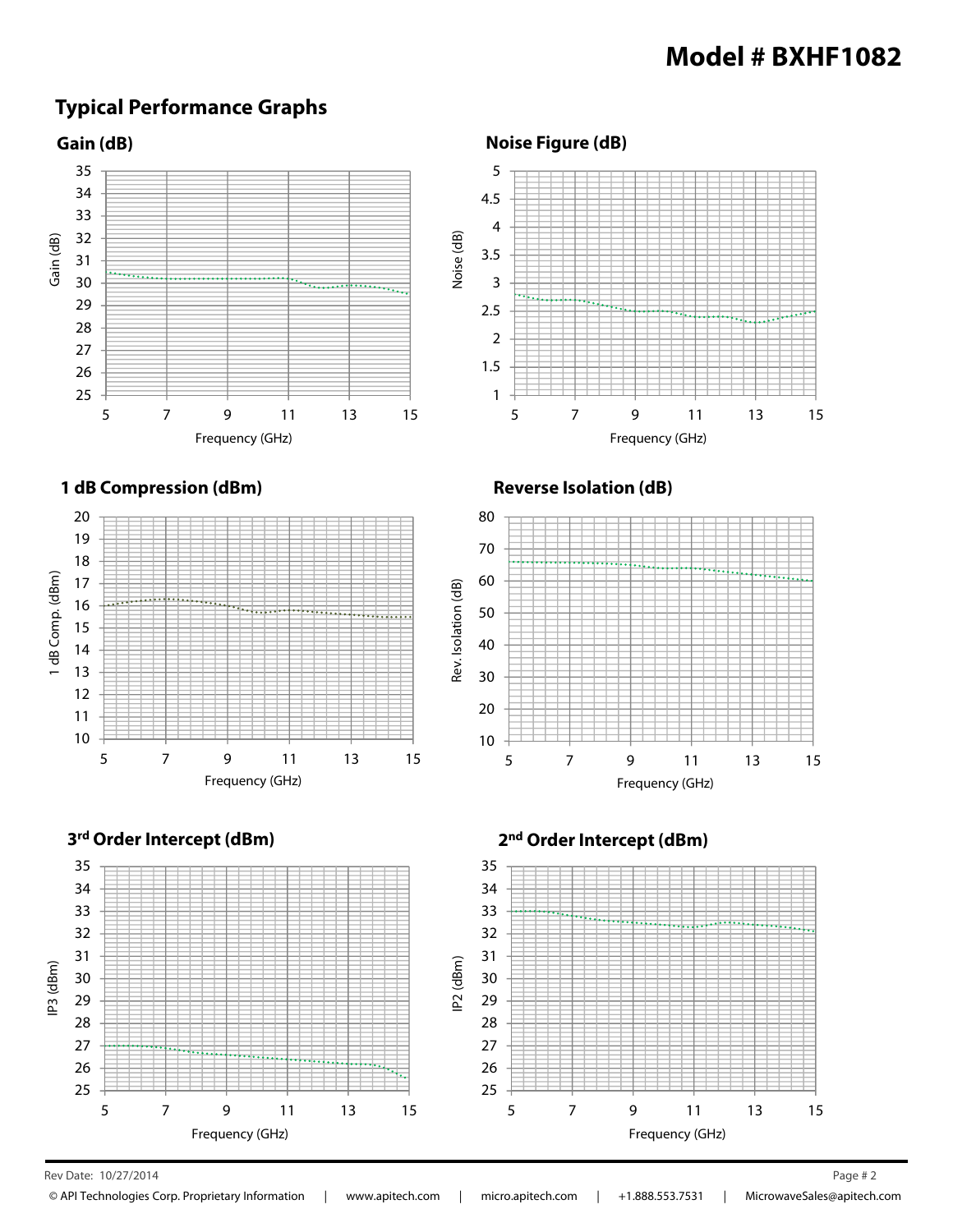#### **Typical Performance Graphs**



**Noise Figure (dB)**



**Reverse Isolation (dB)**



**3rd Order Intercept (dBm) 2nd Order Intercept (dBm)**



Rev Date: 10/27/2014 Page # 2